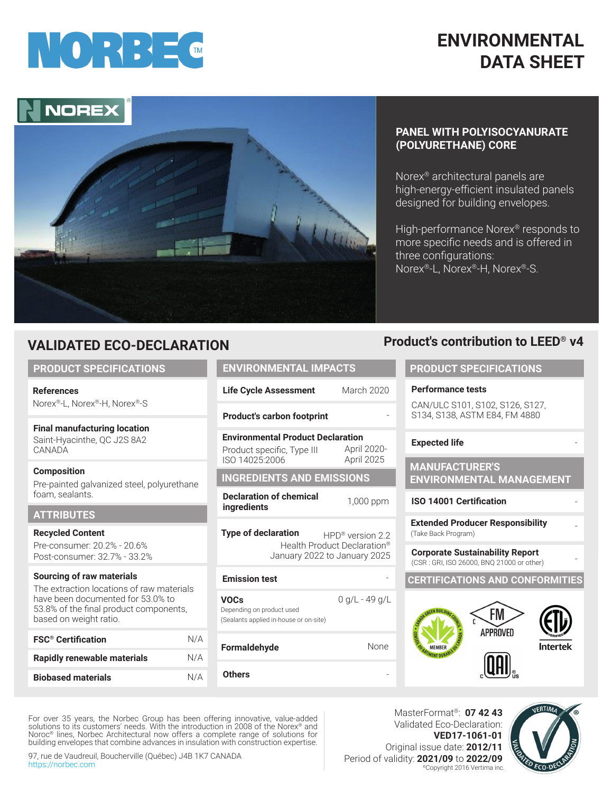

## **ENVIRONMENTAL DATA SHEET**

# NORE



#### **PANEL WITH POLYISOCYANURATE (POLYURETHANE) CORE**

Norex® architectural panels are high-energy-efficient insulated panels designed for building envelopes.

High-performance Norex® responds to more specific needs and is offered in three configurations: Norex®-L, Norex®-H, Norex®-S.

## **VALIDATED ECO-DECLARATION**

#### **PRODUCT SPECIFICATIONS**

**References**  Norex®-L, Norex®-H, Norex®-S

**Final manufacturing location** Saint-Hyacinthe, QC J2S 8A2 **CANADA** 

**Composition** Pre-painted galvanized steel, polyurethane foam, sealants.

#### **ATTRIBUTES**

**Recycled Content** Pre-consumer: 20.2% - 20.6% Post-consumer: 32.7% - 33.2%

#### **Example 3 Sourcing of raw materials**

The extraction locations of raw materials have been documented for 53.0% to 53.8% of the final product components, based on weight ratio.

| <b>FSC<sup>®</sup></b> Certification | N/A |
|--------------------------------------|-----|
| <b>Rapidly renewable materials</b>   | N/A |
| <b>Biobased materials</b>            | N/A |

**Life Cycle Assessment** March 2020

#### **Product's carbon footprint**

**Environmental Product Declaration**  Product specific, Type III ISO 14025:2006 April 2020- April 2025

#### **INGREDIENTS AND EMISSIONS**

**Declaration of chemical ingredients** 1,000 ppm

**Type of declaration HPD®** version 2.2 Health Product Declaration® January 2022 to January 2025

**VOCs** Depending on product used (Sealants applied in-house or on-site) 0 g/L - 49 g/L

**Formaldehyde**

**Others** 

#### **ENVIRONMENTAL IMPACTS PRODUCT SPECIFICATIONS**

#### **Performance tests**

CAN/ULC S101, S102, S126, S127, S134, S138, ASTM E84, FM 4880

**Product's contribution to LEED® v4**

#### **Expected life**

#### **MANUFACTURER'S ENVIRONMENTAL MANAGEMENT**

#### **ISO 14001 Certification**

**Extended Producer Responsibility**  (Take Back Program)

- **Corporate Sustainability Report** (CSR : GRI, ISO 26000, BNQ 21000 or other) -

#### **CERTIFICATIONS AND CONFORMITIES**



For over 35 years, the Norbec Group has been offering innovative, value-added solutions to its customers' needs. With the introduction in 2008 of the Norex® and Noroc® lines, Norbec Architectural now offers a complete range of solutions for building envelopes that combine advances in insulation with construction expertise.

97, rue de Vaudreuil, Boucherville (Québec) J4B 1K7 CANADA https://norbec.com

MasterFormat®: **07 42 43**  Validated Eco-Declaration: **VED17-1061-01** Original issue date: **2012/11** Period of validity: **2021/09** to **2022/09** ©Copyright 2016 Vertima inc.

-

-

None

-



-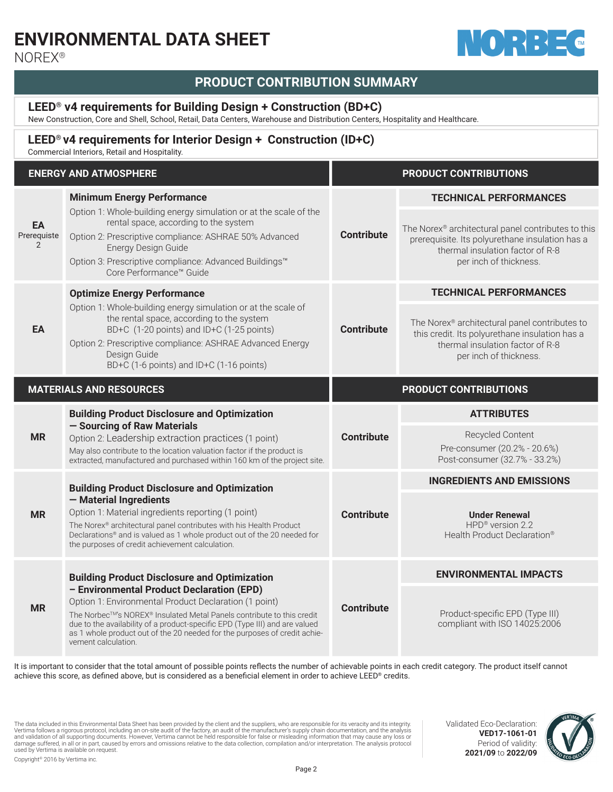## **ENVIRONMENTAL DATA SHEET**



NOREX®

### **PRODUCT CONTRIBUTION SUMMARY**

#### **LEED® v4 requirements for Building Design + Construction (BD+C)**

New Construction, Core and Shell, School, Retail, Data Centers, Warehouse and Distribution Centers, Hospitality and Healthcare.

#### **LEED® v4 requirements for Interior Design + Construction (ID+C)**

Commercial Interiors, Retail and Hospitality.

|                        | <b>ENERGY AND ATMOSPHERE</b>                                                                                                                                                                                                                                                                                                                                                                                          |                       | <b>PRODUCT CONTRIBUTIONS</b>                                                                                                                                                                         |
|------------------------|-----------------------------------------------------------------------------------------------------------------------------------------------------------------------------------------------------------------------------------------------------------------------------------------------------------------------------------------------------------------------------------------------------------------------|-----------------------|------------------------------------------------------------------------------------------------------------------------------------------------------------------------------------------------------|
| EA<br>Prerequiste<br>2 | <b>Minimum Energy Performance</b><br>Option 1: Whole-building energy simulation or at the scale of the<br>rental space, according to the system<br>Option 2: Prescriptive compliance: ASHRAE 50% Advanced<br>Energy Design Guide<br>Option 3: Prescriptive compliance: Advanced Buildings™                                                                                                                            | <b>Contribute</b>     | <b>TECHNICAL PERFORMANCES</b><br>The Norex® architectural panel contributes to this<br>prerequisite. Its polyurethane insulation has a<br>thermal insulation factor of R-8<br>per inch of thickness. |
|                        | Core Performance™ Guide<br><b>Optimize Energy Performance</b>                                                                                                                                                                                                                                                                                                                                                         |                       | <b>TECHNICAL PERFORMANCES</b>                                                                                                                                                                        |
| EA                     | Option 1: Whole-building energy simulation or at the scale of<br>the rental space, according to the system<br>BD+C (1-20 points) and ID+C (1-25 points)<br>Option 2: Prescriptive compliance: ASHRAE Advanced Energy<br>Design Guide<br>BD+C (1-6 points) and ID+C (1-16 points)                                                                                                                                      | <b>Contribute</b>     | The Norex® architectural panel contributes to<br>this credit. Its polyurethane insulation has a<br>thermal insulation factor of R-8<br>per inch of thickness.                                        |
|                        | <b>MATERIALS AND RESOURCES</b>                                                                                                                                                                                                                                                                                                                                                                                        | PRODUCT CONTRIBUTIONS |                                                                                                                                                                                                      |
| <b>MR</b>              | <b>Building Product Disclosure and Optimization</b><br>- Sourcing of Raw Materials<br>Option 2: Leadership extraction practices (1 point)<br>May also contribute to the location valuation factor if the product is<br>extracted, manufactured and purchased within 160 km of the project site.                                                                                                                       | <b>Contribute</b>     | <b>ATTRIBUTES</b><br>Recycled Content<br>Pre-consumer (20.2% - 20.6%)<br>Post-consumer (32.7% - 33.2%)                                                                                               |
|                        | <b>Building Product Disclosure and Optimization</b><br>- Material Ingredients<br>Option 1: Material ingredients reporting (1 point)<br>The Norex® architectural panel contributes with his Health Product<br>Declarations® and is valued as 1 whole product out of the 20 needed for<br>the purposes of credit achievement calculation.                                                                               |                       | <b>INGREDIENTS AND EMISSIONS</b>                                                                                                                                                                     |
| <b>MR</b>              |                                                                                                                                                                                                                                                                                                                                                                                                                       | <b>Contribute</b>     | <b>Under Renewal</b><br>HPD <sup>®</sup> version 2.2<br>Health Product Declaration®                                                                                                                  |
| <b>MR</b>              | <b>Building Product Disclosure and Optimization</b><br>- Environmental Product Declaration (EPD)<br>Option 1: Environmental Product Declaration (1 point)<br>The Norbec™'s NOREX® Insulated Metal Panels contribute to this credit<br>due to the availability of a product-specific EPD (Type III) and are valued<br>as 1 whole product out of the 20 needed for the purposes of credit achie-<br>vement calculation. | <b>Contribute</b>     | <b>ENVIRONMENTAL IMPACTS</b>                                                                                                                                                                         |
|                        |                                                                                                                                                                                                                                                                                                                                                                                                                       |                       | Product-specific EPD (Type III)<br>compliant with ISO 14025:2006                                                                                                                                     |

It is important to consider that the total amount of possible points reflects the number of achievable points in each credit category. The product itself cannot achieve this score, as defined above, but is considered as a beneficial element in order to achieve LEED® credits.

The data included in this Environmental Data Sheet has been provided by the client and the suppliers, who are responsible for its veracity and its integrity. Vertima follows a rigorous protocol, including an on-site audit of the factory, an audit of the manufacturer's supply chain documentation, and the analysis<br>and validation of all supporting documents. However, Vertima canno Copyright© 2016 by Vertima inc.

Validated Eco-Declaration: **VED17-1061-01** Period of validity: **2021/09** to **2022/09**